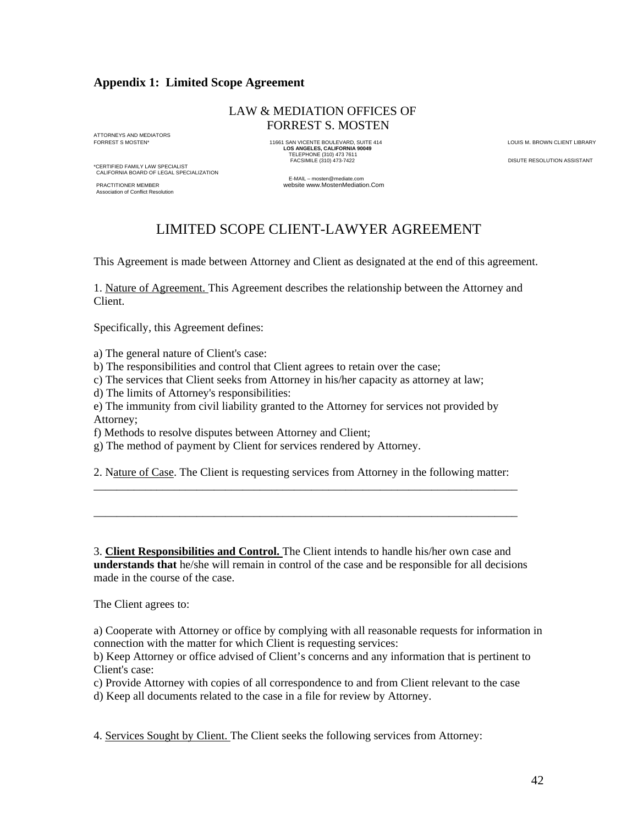## **Appendix 1: Limited Scope Agreement**

## LAW & MEDIATION OFFICES OF FORREST S. MOSTEN

ATTORNEYS AND MEDIATORS<br>FORREST S MOSTEN\*

\*CERTIFIED FAMILY LAW SPECIALIST CALIFORNIA BOARD OF LEGAL SPECIALIZATION

**tion of Conflict Resolution** 

FORREST S MOSTEN\* 11661 SAN VICENTE BOULEVARD, SUITE 414 LOUIS M. BROWN CLIENT LIBRARY **LOS ANGELES, CALIFORNIA 90049**  TELEPHONE (310) 473 7611 FACSIMILE (310) 473-7422 DISUTE RESOLUTION ASSISTANT

E-MAIL – mosten@mediate.com<br>PRACTITIONER MEMBER (PRACTITIONER MEMBER (PRACTITIONER MEMBER (PRACTITIONER MEMBER website www.MostenMediation.Com

## LIMITED SCOPE CLIENT-LAWYER AGREEMENT

This Agreement is made between Attorney and Client as designated at the end of this agreement.

1. Nature of Agreement. This Agreement describes the relationship between the Attorney and Client.

Specifically, this Agreement defines:

a) The general nature of Client's case:

b) The responsibilities and control that Client agrees to retain over the case;

c) The services that Client seeks from Attorney in his/her capacity as attorney at law;

d) The limits of Attorney's responsibilities:

e) The immunity from civil liability granted to the Attorney for services not provided by Attorney;

f) Methods to resolve disputes between Attorney and Client;

g) The method of payment by Client for services rendered by Attorney.

2. Nature of Case. The Client is requesting services from Attorney in the following matter: \_\_\_\_\_\_\_\_\_\_\_\_\_\_\_\_\_\_\_\_\_\_\_\_\_\_\_\_\_\_\_\_\_\_\_\_\_\_\_\_\_\_\_\_\_\_\_\_\_\_\_\_\_\_\_\_\_\_\_\_\_\_\_\_\_\_\_\_\_\_\_\_\_\_

\_\_\_\_\_\_\_\_\_\_\_\_\_\_\_\_\_\_\_\_\_\_\_\_\_\_\_\_\_\_\_\_\_\_\_\_\_\_\_\_\_\_\_\_\_\_\_\_\_\_\_\_\_\_\_\_\_\_\_\_\_\_\_\_\_\_\_\_\_\_\_\_\_\_

3. **Client Responsibilities and Control.** The Client intends to handle his/her own case and **understands that** he/she will remain in control of the case and be responsible for all decisions made in the course of the case.

The Client agrees to:

a) Cooperate with Attorney or office by complying with all reasonable requests for information in connection with the matter for which Client is requesting services:

b) Keep Attorney or office advised of Client's concerns and any information that is pertinent to Client's case:

c) Provide Attorney with copies of all correspondence to and from Client relevant to the case

d) Keep all documents related to the case in a file for review by Attorney.

4. Services Sought by Client. The Client seeks the following services from Attorney: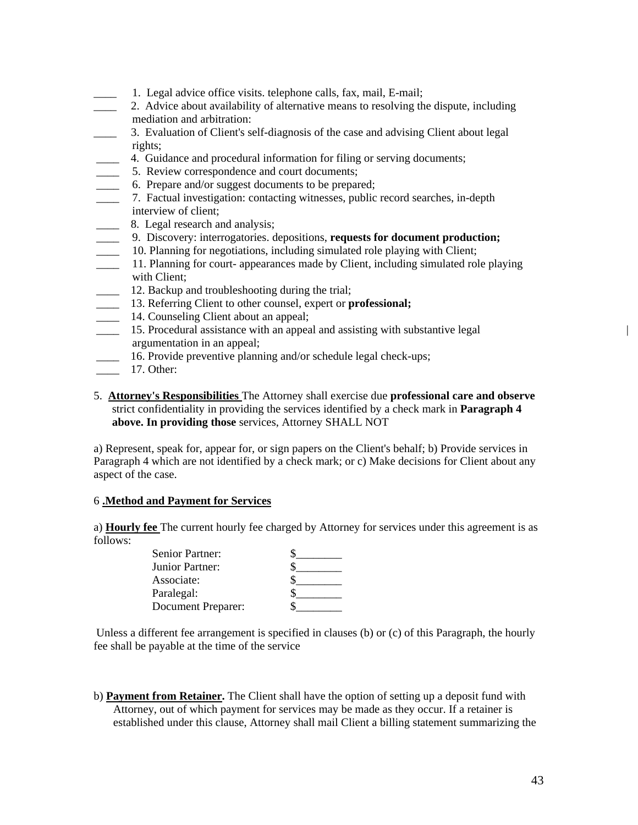- \_\_\_\_ 1. Legal advice office visits. telephone calls, fax, mail, E-mail;
- \_\_\_\_ 2. Advice about availability of alternative means to resolving the dispute, including mediation and arbitration:
- \_\_\_\_ 3. Evaluation of Client's self-diagnosis of the case and advising Client about legal rights;
- \_\_\_\_ 4. Guidance and procedural information for filing or serving documents;
- \_\_\_\_ 5. Review correspondence and court documents;
- \_\_\_\_ 6. Prepare and/or suggest documents to be prepared;
- \_\_\_\_ 7. Factual investigation: contacting witnesses, public record searches, in-depth interview of client;
- **EXECUTE:** 8. Legal research and analysis;
- \_\_\_\_ 9. Discovery: interrogatories. depositions, **requests for document production;**
- 10. Planning for negotiations, including simulated role playing with Client;
- \_\_\_\_ 11. Planning for court- appearances made by Client, including simulated role playing with Client;
- \_\_\_\_ 12. Backup and troubleshooting during the trial;
- \_\_\_\_ 13. Referring Client to other counsel, expert or **professional;**
- **14. Counseling Client about an appeal:**
- \_\_\_\_ 15. Procedural assistance with an appeal and assisting with substantive legal | argumentation in an appeal;
	- \_\_\_\_ 16. Provide preventive planning and/or schedule legal check-ups;
- \_\_\_\_ 17. Other:
- 5. **Attorney's Responsibilities** The Attorney shall exercise due **professional care and observe**  strict confidentiality in providing the services identified by a check mark in **Paragraph 4 above. In providing those** services, Attorney SHALL NOT

a) Represent, speak for, appear for, or sign papers on the Client's behalf; b) Provide services in Paragraph 4 which are not identified by a check mark; or c) Make decisions for Client about any aspect of the case.

## 6 **.Method and Payment for Services**

a) **Hourly fee** The current hourly fee charged by Attorney for services under this agreement is as follows:

| Senior Partner:    |  |
|--------------------|--|
| Junior Partner:    |  |
| Associate:         |  |
| Paralegal:         |  |
| Document Preparer: |  |

Unless a different fee arrangement is specified in clauses (b) or (c) of this Paragraph, the hourly fee shall be payable at the time of the service

b) **Payment from Retainer.** The Client shall have the option of setting up a deposit fund with Attorney, out of which payment for services may be made as they occur. If a retainer is established under this clause, Attorney shall mail Client a billing statement summarizing the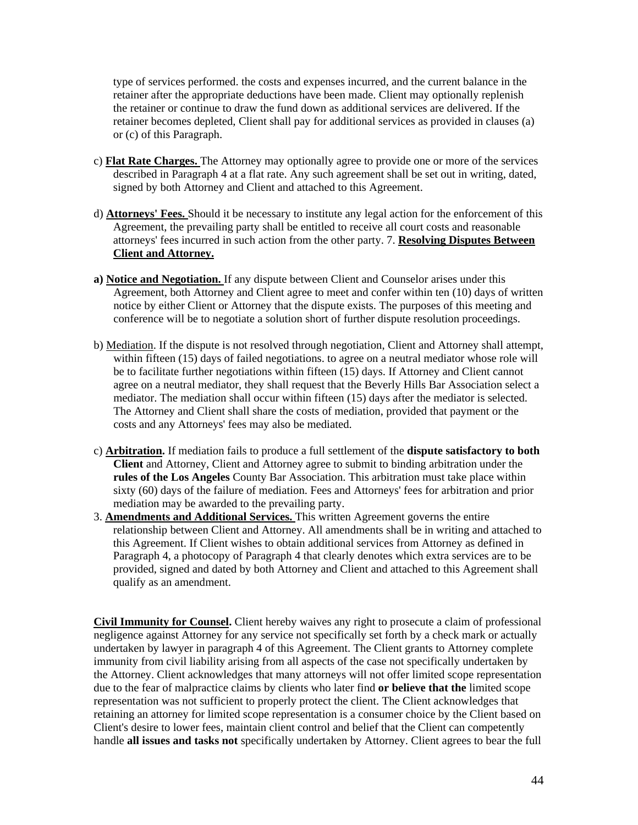type of services performed. the costs and expenses incurred, and the current balance in the retainer after the appropriate deductions have been made. Client may optionally replenish the retainer or continue to draw the fund down as additional services are delivered. If the retainer becomes depleted, Client shall pay for additional services as provided in clauses (a) or (c) of this Paragraph.

- c) **Flat Rate Charges.** The Attorney may optionally agree to provide one or more of the services described in Paragraph 4 at a flat rate. Any such agreement shall be set out in writing, dated, signed by both Attorney and Client and attached to this Agreement.
- d) **Attorneys' Fees.** Should it be necessary to institute any legal action for the enforcement of this Agreement, the prevailing party shall be entitled to receive all court costs and reasonable attorneys' fees incurred in such action from the other party. 7. **Resolving Disputes Between Client and Attorney.**
- **a) Notice and Negotiation.** If any dispute between Client and Counselor arises under this Agreement, both Attorney and Client agree to meet and confer within ten (10) days of written notice by either Client or Attorney that the dispute exists. The purposes of this meeting and conference will be to negotiate a solution short of further dispute resolution proceedings.
- b) Mediation. If the dispute is not resolved through negotiation, Client and Attorney shall attempt, within fifteen (15) days of failed negotiations. to agree on a neutral mediator whose role will be to facilitate further negotiations within fifteen (15) days. If Attorney and Client cannot agree on a neutral mediator, they shall request that the Beverly Hills Bar Association select a mediator. The mediation shall occur within fifteen (15) days after the mediator is selected. The Attorney and Client shall share the costs of mediation, provided that payment or the costs and any Attorneys' fees may also be mediated.
- c) **Arbitration.** If mediation fails to produce a full settlement of the **dispute satisfactory to both Client** and Attorney, Client and Attorney agree to submit to binding arbitration under the **rules of the Los Angeles** County Bar Association. This arbitration must take place within sixty (60) days of the failure of mediation. Fees and Attorneys' fees for arbitration and prior mediation may be awarded to the prevailing party.
- 3. **Amendments and Additional Services.** This written Agreement governs the entire relationship between Client and Attorney. All amendments shall be in writing and attached to this Agreement. If Client wishes to obtain additional services from Attorney as defined in Paragraph 4, a photocopy of Paragraph 4 that clearly denotes which extra services are to be provided, signed and dated by both Attorney and Client and attached to this Agreement shall qualify as an amendment.

**Civil Immunity for Counsel.** Client hereby waives any right to prosecute a claim of professional negligence against Attorney for any service not specifically set forth by a check mark or actually undertaken by lawyer in paragraph 4 of this Agreement. The Client grants to Attorney complete immunity from civil liability arising from all aspects of the case not specifically undertaken by the Attorney. Client acknowledges that many attorneys will not offer limited scope representation due to the fear of malpractice claims by clients who later find **or believe that the** limited scope representation was not sufficient to properly protect the client. The Client acknowledges that retaining an attorney for limited scope representation is a consumer choice by the Client based on Client's desire to lower fees, maintain client control and belief that the Client can competently handle **all issues and tasks not** specifically undertaken by Attorney. Client agrees to bear the full